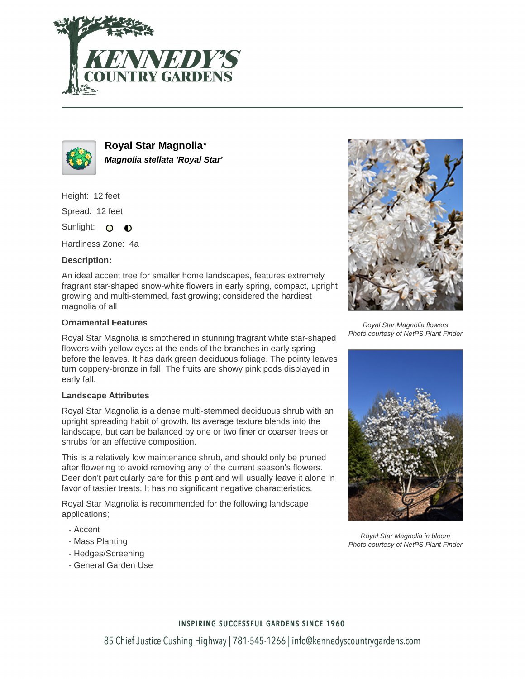



**Royal Star Magnolia**\* **Magnolia stellata 'Royal Star'**

Height: 12 feet

Spread: 12 feet

Sunlight: O  $\bullet$ 

Hardiness Zone: 4a

# **Description:**

An ideal accent tree for smaller home landscapes, features extremely fragrant star-shaped snow-white flowers in early spring, compact, upright growing and multi-stemmed, fast growing; considered the hardiest magnolia of all

# **Ornamental Features**

Royal Star Magnolia is smothered in stunning fragrant white star-shaped flowers with yellow eyes at the ends of the branches in early spring before the leaves. It has dark green deciduous foliage. The pointy leaves turn coppery-bronze in fall. The fruits are showy pink pods displayed in early fall.

### **Landscape Attributes**

Royal Star Magnolia is a dense multi-stemmed deciduous shrub with an upright spreading habit of growth. Its average texture blends into the landscape, but can be balanced by one or two finer or coarser trees or shrubs for an effective composition.

This is a relatively low maintenance shrub, and should only be pruned after flowering to avoid removing any of the current season's flowers. Deer don't particularly care for this plant and will usually leave it alone in favor of tastier treats. It has no significant negative characteristics.

Royal Star Magnolia is recommended for the following landscape applications;

- Accent
- Mass Planting
- Hedges/Screening
- General Garden Use



Royal Star Magnolia flowers Photo courtesy of NetPS Plant Finder



Royal Star Magnolia in bloom Photo courtesy of NetPS Plant Finder

### **INSPIRING SUCCESSFUL GARDENS SINCE 1960**

85 Chief Justice Cushing Highway | 781-545-1266 | info@kennedyscountrygardens.com